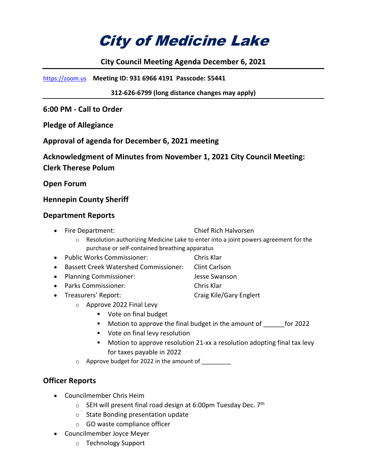# City of Medicine Lake

## **City Council Meeting Agenda December 6, 2021**

https://zoom.us **Meeting ID: 931 6966 4191 Passcode: 55441**

**312-626-6799 (long distance changes may apply)**

**6:00 PM - Call to Order** 

**Pledge of Allegiance**

**Approval of agenda for December 6, 2021 meeting**

**Acknowledgment of Minutes from November 1, 2021 City Council Meeting: Clerk Therese Polum**

**Open Forum**

### **Hennepin County Sheriff**

#### **Department Reports**

- Fire Department: Chief Rich Halvorsen
	- $\circ$  Resolution authorizing Medicine Lake to enter into a joint powers agreement for the purchase or self-contained breathing apparatus
- Public Works Commissioner: Chris Klar
- Bassett Creek Watershed Commissioner: Clint Carlson
- Planning Commissioner: Jesse Swanson
- Parks Commissioner: Chris Klar
- Treasurers' Report: Craig Kile/Gary Englert
	- o Approve 2022 Final Levy
		- Vote on final budget
		- Motion to approve the final budget in the amount of for 2022
		- **•** Vote on final levy resolution
		- Motion to approve resolution 21-xx a resolution adopting final tax levy for taxes payable in 2022
	- o Approve budget for 2022 in the amount of \_\_\_\_\_\_\_\_\_

## **Officer Reports**

- Councilmember Chris Heim
	- $\circ$  SEH will present final road design at 6:00pm Tuesday Dec. 7<sup>th</sup>
	- o State Bonding presentation update
	- o GO waste compliance officer
- Councilmember Joyce Meyer
	- o Technology Support